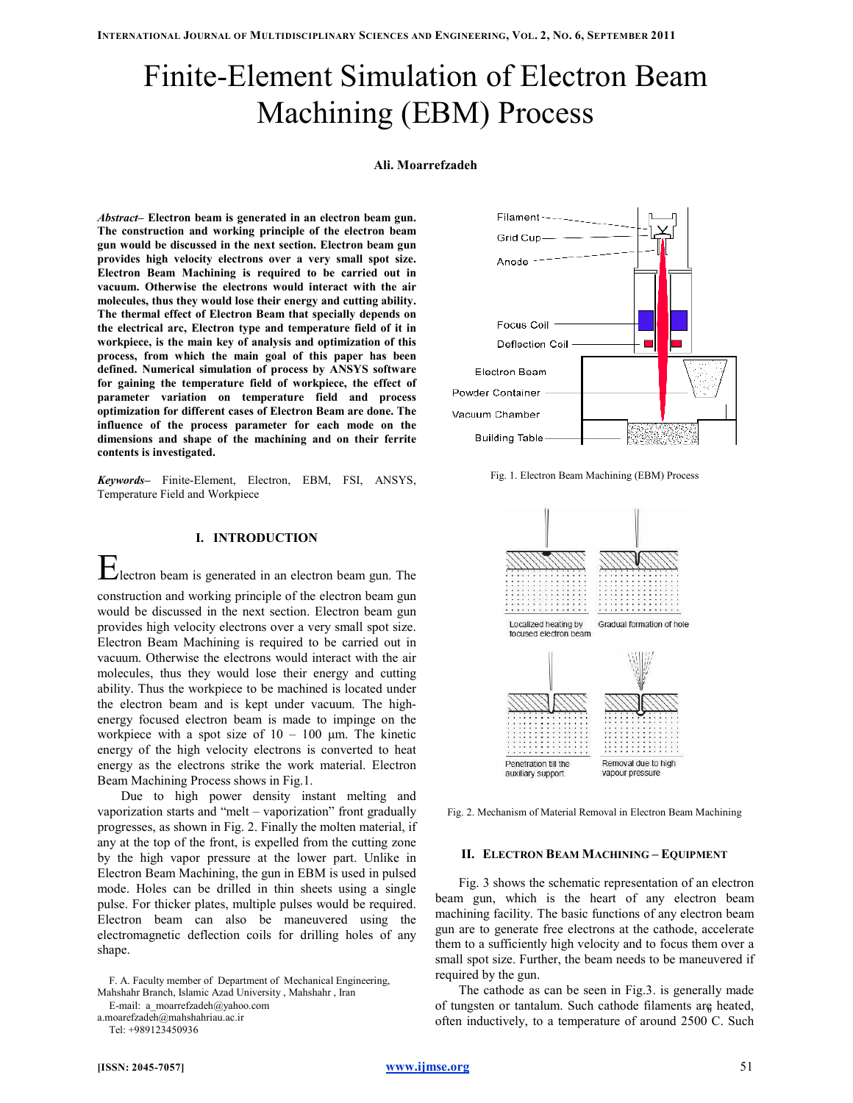# Finite-Element Simulation of Electron Beam Machining (EBM) Process

# Ali. Moarrefzadeh

Abstract– Electron beam is generated in an electron beam gun. The construction and working principle of the electron beam gun would be discussed in the next section. Electron beam gun provides high velocity electrons over a very small spot size. Electron Beam Machining is required to be carried out in vacuum. Otherwise the electrons would interact with the air molecules, thus they would lose their energy and cutting ability. The thermal effect of Electron Beam that specially depends on the electrical arc, Electron type and temperature field of it in workpiece, is the main key of analysis and optimization of this process, from which the main goal of this paper has been defined. Numerical simulation of process by ANSYS software for gaining the temperature field of workpiece, the effect of parameter variation on temperature field and process optimization for different cases of Electron Beam are done. The influence of the process parameter for each mode on the dimensions and shape of the machining and on their ferrite contents is investigated.

Keywords– Finite-Element, Electron, EBM, FSI, ANSYS, Temperature Field and Workpiece



Electron beam is generated in an electron beam gun. The construction and working principle of the electron beam gun would be discussed in the next section. Electron beam gun provides high velocity electrons over a very small spot size. Electron Beam Machining is required to be carried out in vacuum. Otherwise the electrons would interact with the air molecules, thus they would lose their energy and cutting ability. Thus the workpiece to be machined is located under the electron beam and is kept under vacuum. The highenergy focused electron beam is made to impinge on the workpiece with a spot size of  $10 - 100 \mu m$ . The kinetic energy of the high velocity electrons is converted to heat energy as the electrons strike the work material. Electron Beam Machining Process shows in Fig.1.

Due to high power density instant melting and vaporization starts and "melt – vaporization" front gradually progresses, as shown in Fig. 2. Finally the molten material, if any at the top of the front, is expelled from the cutting zone by the high vapor pressure at the lower part. Unlike in Electron Beam Machining, the gun in EBM is used in pulsed mode. Holes can be drilled in thin sheets using a single pulse. For thicker plates, multiple pulses would be required. Electron beam can also be maneuvered using the electromagnetic deflection coils for drilling holes of any shape.

E-mail: a\_moarrefzadeh@yahoo.com

Tel: +989123450936





Fig. 1. Electron Beam Machining (EBM) Process



Fig. 2. Mechanism of Material Removal in Electron Beam Machining

### II. ELECTRON BEAM MACHINING – EQUIPMENT

Fig. 3 shows the schematic representation of an electron beam gun, which is the heart of any electron beam machining facility. The basic functions of any electron beam gun are to generate free electrons at the cathode, accelerate them to a sufficiently high velocity and to focus them over a small spot size. Further, the beam needs to be maneuvered if required by the gun.

The cathode as can be seen in Fig.3. is generally made of tungsten or tantalum. Such cathode filaments are heated, often inductively, to a temperature of around 2500 C. Such

F. A. Faculty member of Department of Mechanical Engineering, Mahshahr Branch, Islamic Azad University , Mahshahr , Iran

a.moarefzadeh@mahshahriau.ac.ir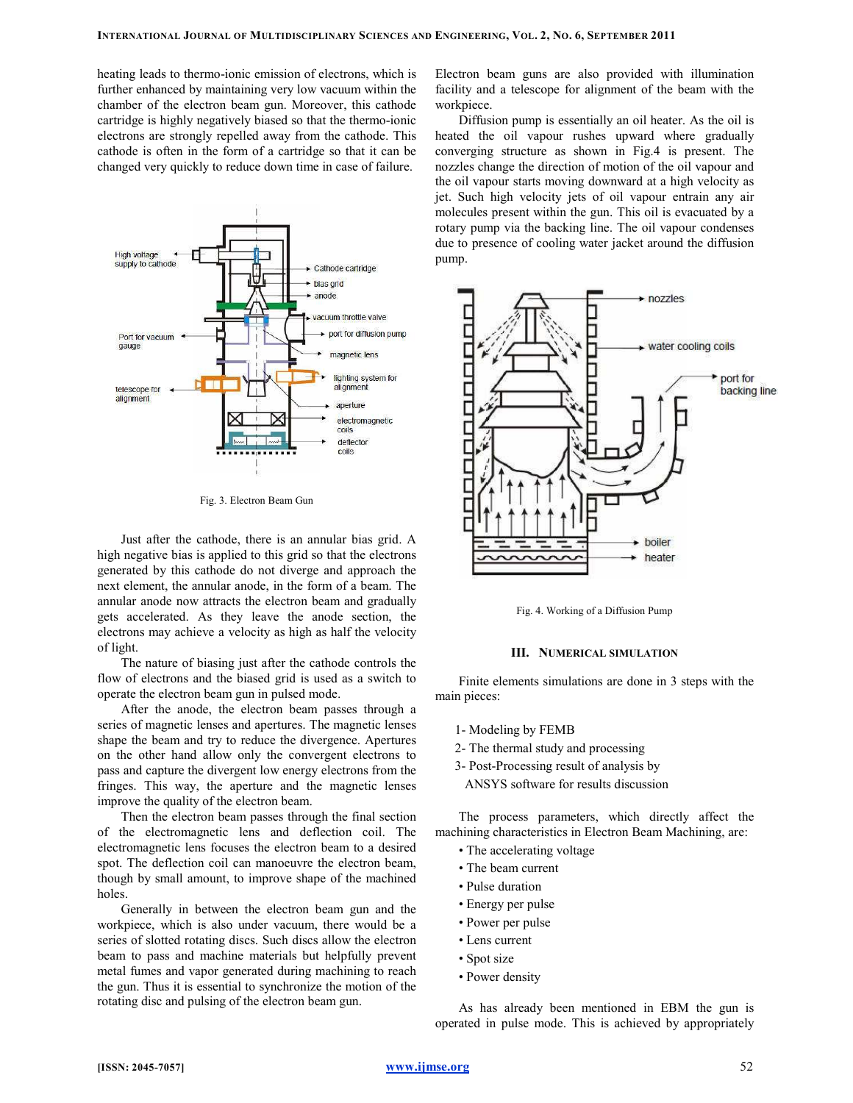heating leads to thermo-ionic emission of electrons, which is further enhanced by maintaining very low vacuum within the chamber of the electron beam gun. Moreover, this cathode cartridge is highly negatively biased so that the thermo-ionic electrons are strongly repelled away from the cathode. This cathode is often in the form of a cartridge so that it can be changed very quickly to reduce down time in case of failure.



Fig. 3. Electron Beam Gun

Just after the cathode, there is an annular bias grid. A high negative bias is applied to this grid so that the electrons generated by this cathode do not diverge and approach the next element, the annular anode, in the form of a beam. The annular anode now attracts the electron beam and gradually gets accelerated. As they leave the anode section, the electrons may achieve a velocity as high as half the velocity of light.

The nature of biasing just after the cathode controls the flow of electrons and the biased grid is used as a switch to operate the electron beam gun in pulsed mode.

After the anode, the electron beam passes through a series of magnetic lenses and apertures. The magnetic lenses shape the beam and try to reduce the divergence. Apertures on the other hand allow only the convergent electrons to pass and capture the divergent low energy electrons from the fringes. This way, the aperture and the magnetic lenses improve the quality of the electron beam.

Then the electron beam passes through the final section of the electromagnetic lens and deflection coil. The electromagnetic lens focuses the electron beam to a desired spot. The deflection coil can manoeuvre the electron beam, though by small amount, to improve shape of the machined holes.

Generally in between the electron beam gun and the workpiece, which is also under vacuum, there would be a series of slotted rotating discs. Such discs allow the electron beam to pass and machine materials but helpfully prevent metal fumes and vapor generated during machining to reach the gun. Thus it is essential to synchronize the motion of the rotating disc and pulsing of the electron beam gun.

Electron beam guns are also provided with illumination facility and a telescope for alignment of the beam with the workpiece.

Diffusion pump is essentially an oil heater. As the oil is heated the oil vapour rushes upward where gradually converging structure as shown in Fig.4 is present. The nozzles change the direction of motion of the oil vapour and the oil vapour starts moving downward at a high velocity as jet. Such high velocity jets of oil vapour entrain any air molecules present within the gun. This oil is evacuated by a rotary pump via the backing line. The oil vapour condenses due to presence of cooling water jacket around the diffusion pump.



Fig. 4. Working of a Diffusion Pump

# III. NUMERICAL SIMULATION

Finite elements simulations are done in 3 steps with the main pieces:

- 1- Modeling by FEMB
- 2- The thermal study and processing
- 3- Post-Processing result of analysis by

ANSYS software for results discussion

The process parameters, which directly affect the machining characteristics in Electron Beam Machining, are:

- The accelerating voltage
- The beam current
- Pulse duration
- Energy per pulse
- Power per pulse
- Lens current
- Spot size
- Power density

As has already been mentioned in EBM the gun is operated in pulse mode. This is achieved by appropriately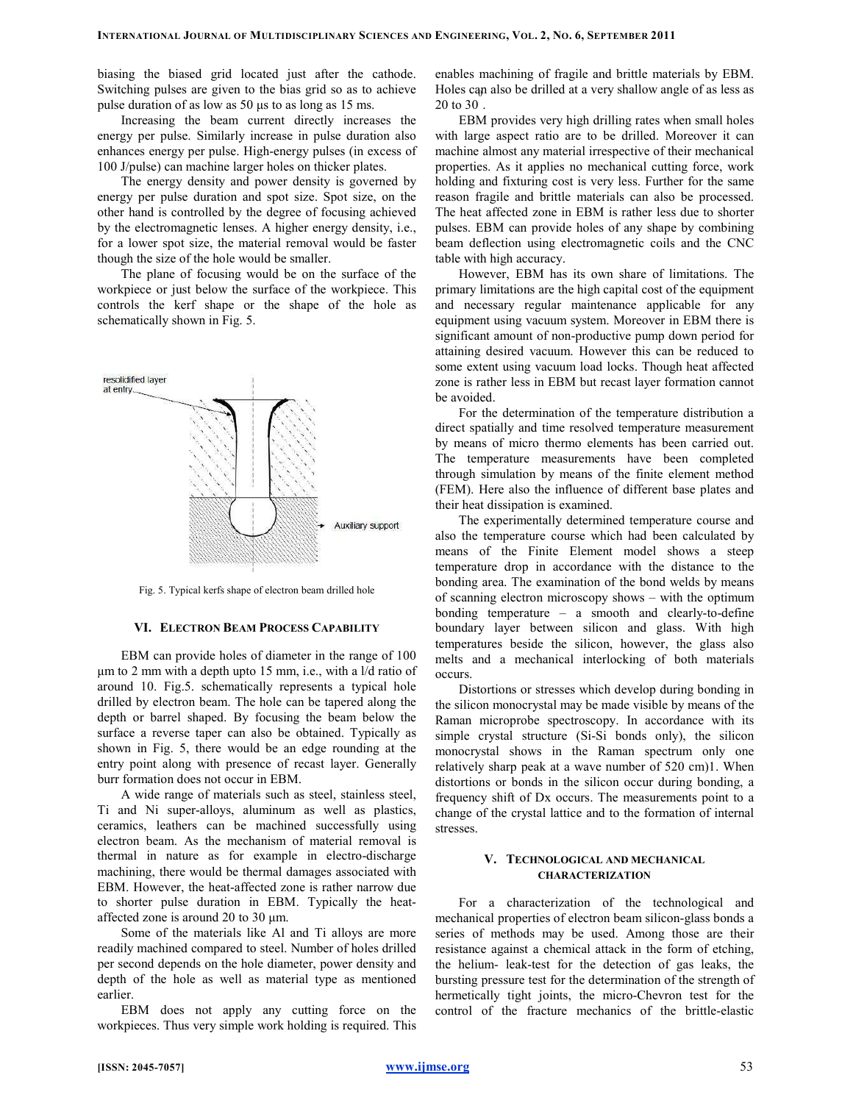biasing the biased grid located just after the cathode. Switching pulses are given to the bias grid so as to achieve pulse duration of as low as 50 µs to as long as 15 ms.

Increasing the beam current directly increases the energy per pulse. Similarly increase in pulse duration also enhances energy per pulse. High-energy pulses (in excess of 100 J/pulse) can machine larger holes on thicker plates.

The energy density and power density is governed by energy per pulse duration and spot size. Spot size, on the other hand is controlled by the degree of focusing achieved by the electromagnetic lenses. A higher energy density, i.e., for a lower spot size, the material removal would be faster though the size of the hole would be smaller.

The plane of focusing would be on the surface of the workpiece or just below the surface of the workpiece. This controls the kerf shape or the shape of the hole as schematically shown in Fig. 5.



Fig. 5. Typical kerfs shape of electron beam drilled hole

# VI. ELECTRON BEAM PROCESS CAPABILITY

EBM can provide holes of diameter in the range of 100 µm to 2 mm with a depth upto 15 mm, i.e., with a l/d ratio of around 10. Fig.5. schematically represents a typical hole drilled by electron beam. The hole can be tapered along the depth or barrel shaped. By focusing the beam below the surface a reverse taper can also be obtained. Typically as shown in Fig. 5, there would be an edge rounding at the entry point along with presence of recast layer. Generally burr formation does not occur in EBM.

A wide range of materials such as steel, stainless steel, Ti and Ni super-alloys, aluminum as well as plastics, ceramics, leathers can be machined successfully using electron beam. As the mechanism of material removal is thermal in nature as for example in electro-discharge machining, there would be thermal damages associated with EBM. However, the heat-affected zone is rather narrow due to shorter pulse duration in EBM. Typically the heataffected zone is around 20 to 30 µm.

Some of the materials like Al and Ti alloys are more readily machined compared to steel. Number of holes drilled per second depends on the hole diameter, power density and depth of the hole as well as material type as mentioned earlier.

EBM does not apply any cutting force on the workpieces. Thus very simple work holding is required. This enables machining of fragile and brittle materials by EBM. Holes can also be drilled at a very shallow angle of as less as 0 20 to 30 .

EBM provides very high drilling rates when small holes with large aspect ratio are to be drilled. Moreover it can machine almost any material irrespective of their mechanical properties. As it applies no mechanical cutting force, work holding and fixturing cost is very less. Further for the same reason fragile and brittle materials can also be processed. The heat affected zone in EBM is rather less due to shorter pulses. EBM can provide holes of any shape by combining beam deflection using electromagnetic coils and the CNC table with high accuracy.

However, EBM has its own share of limitations. The primary limitations are the high capital cost of the equipment and necessary regular maintenance applicable for any equipment using vacuum system. Moreover in EBM there is significant amount of non-productive pump down period for attaining desired vacuum. However this can be reduced to some extent using vacuum load locks. Though heat affected zone is rather less in EBM but recast layer formation cannot be avoided.

For the determination of the temperature distribution a direct spatially and time resolved temperature measurement by means of micro thermo elements has been carried out. The temperature measurements have been completed through simulation by means of the finite element method (FEM). Here also the influence of different base plates and their heat dissipation is examined.

The experimentally determined temperature course and also the temperature course which had been calculated by means of the Finite Element model shows a steep temperature drop in accordance with the distance to the bonding area. The examination of the bond welds by means of scanning electron microscopy shows – with the optimum bonding temperature – a smooth and clearly-to-define boundary layer between silicon and glass. With high temperatures beside the silicon, however, the glass also melts and a mechanical interlocking of both materials occurs.

Distortions or stresses which develop during bonding in the silicon monocrystal may be made visible by means of the Raman microprobe spectroscopy. In accordance with its simple crystal structure (Si-Si bonds only), the silicon monocrystal shows in the Raman spectrum only one relatively sharp peak at a wave number of 520 cm)1. When distortions or bonds in the silicon occur during bonding, a frequency shift of Dx occurs. The measurements point to a change of the crystal lattice and to the formation of internal stresses.

# V. TECHNOLOGICAL AND MECHANICAL CHARACTERIZATION

For a characterization of the technological and mechanical properties of electron beam silicon-glass bonds a series of methods may be used. Among those are their resistance against a chemical attack in the form of etching, the helium- leak-test for the detection of gas leaks, the bursting pressure test for the determination of the strength of hermetically tight joints, the micro-Chevron test for the control of the fracture mechanics of the brittle-elastic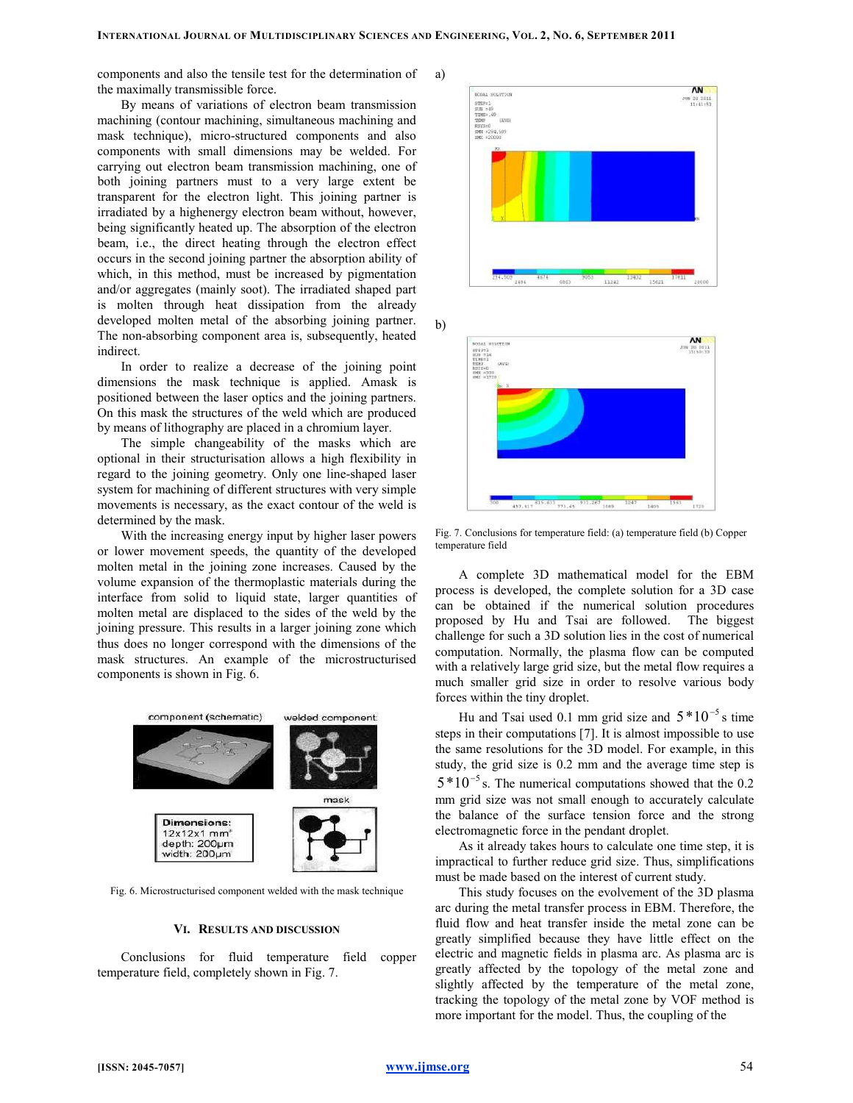a)

b)

components and also the tensile test for the determination of the maximally transmissible force.

By means of variations of electron beam transmission machining (contour machining, simultaneous machining and mask technique), micro-structured components and also components with small dimensions may be welded. For carrying out electron beam transmission machining, one of both joining partners must to a very large extent be transparent for the electron light. This joining partner is irradiated by a highenergy electron beam without, however, being significantly heated up. The absorption of the electron beam, i.e., the direct heating through the electron effect occurs in the second joining partner the absorption ability of which, in this method, must be increased by pigmentation and/or aggregates (mainly soot). The irradiated shaped part is molten through heat dissipation from the already developed molten metal of the absorbing joining partner. The non-absorbing component area is, subsequently, heated indirect.

In order to realize a decrease of the joining point dimensions the mask technique is applied. Amask is positioned between the laser optics and the joining partners. On this mask the structures of the weld which are produced by means of lithography are placed in a chromium layer.

The simple changeability of the masks which are optional in their structurisation allows a high flexibility in regard to the joining geometry. Only one line-shaped laser system for machining of different structures with very simple movements is necessary, as the exact contour of the weld is determined by the mask.

With the increasing energy input by higher laser powers or lower movement speeds, the quantity of the developed molten metal in the joining zone increases. Caused by the volume expansion of the thermoplastic materials during the interface from solid to liquid state, larger quantities of molten metal are displaced to the sides of the weld by the joining pressure. This results in a larger joining zone which thus does no longer correspond with the dimensions of the mask structures. An example of the microstructurised components is shown in Fig. 6.



Fig. 6. Microstructurised component welded with the mask technique

#### VI. RESULTS AND DISCUSSION

Conclusions for fluid temperature field copper temperature field, completely shown in Fig. 7.





Fig. 7. Conclusions for temperature field: (a) temperature field (b) Copper temperature field

A complete 3D mathematical model for the EBM process is developed, the complete solution for a 3D case can be obtained if the numerical solution procedures proposed by Hu and Tsai are followed. The biggest challenge for such a 3D solution lies in the cost of numerical computation. Normally, the plasma flow can be computed with a relatively large grid size, but the metal flow requires a much smaller grid size in order to resolve various body forces within the tiny droplet.

Hu and Tsai used 0.1 mm grid size and  $5*10^{-5}$  s time steps in their computations [7]. It is almost impossible to use the same resolutions for the 3D model. For example, in this study, the grid size is 0.2 mm and the average time step is  $5*10^{-5}$  s. The numerical computations showed that the 0.2 mm grid size was not small enough to accurately calculate the balance of the surface tension force and the strong electromagnetic force in the pendant droplet.

As it already takes hours to calculate one time step, it is impractical to further reduce grid size. Thus, simplifications must be made based on the interest of current study.

This study focuses on the evolvement of the 3D plasma arc during the metal transfer process in EBM. Therefore, the fluid flow and heat transfer inside the metal zone can be greatly simplified because they have little effect on the electric and magnetic fields in plasma arc. As plasma arc is greatly affected by the topology of the metal zone and slightly affected by the temperature of the metal zone, tracking the topology of the metal zone by VOF method is more important for the model. Thus, the coupling of the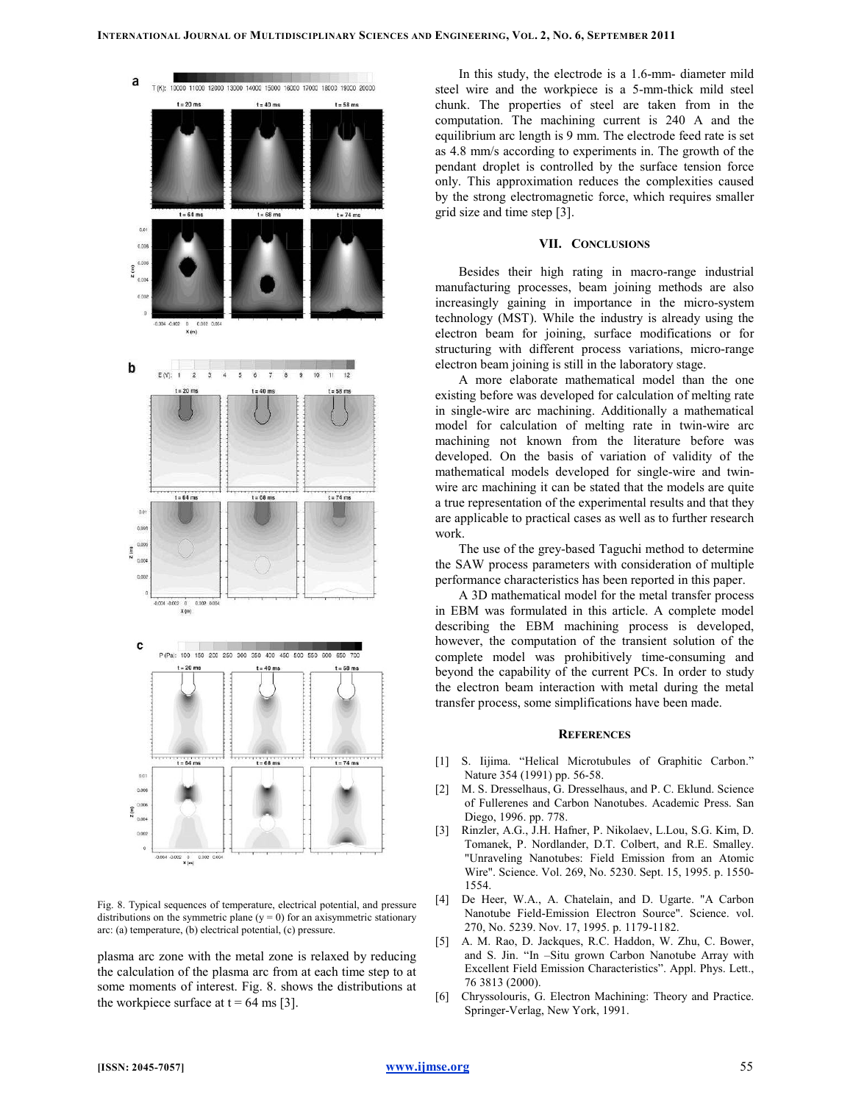

Fig. 8. Typical sequences of temperature, electrical potential, and pressure distributions on the symmetric plane  $(y = 0)$  for an axisymmetric stationary arc: (a) temperature, (b) electrical potential, (c) pressure.

plasma arc zone with the metal zone is relaxed by reducing the calculation of the plasma arc from at each time step to at some moments of interest. Fig. 8. shows the distributions at the workpiece surface at  $t = 64$  ms [3].

In this study, the electrode is a 1.6-mm- diameter mild steel wire and the workpiece is a 5-mm-thick mild steel chunk. The properties of steel are taken from in the computation. The machining current is 240 A and the equilibrium arc length is 9 mm. The electrode feed rate is set as 4.8 mm/s according to experiments in. The growth of the pendant droplet is controlled by the surface tension force only. This approximation reduces the complexities caused by the strong electromagnetic force, which requires smaller grid size and time step [3].

### VII. CONCLUSIONS

Besides their high rating in macro-range industrial manufacturing processes, beam joining methods are also increasingly gaining in importance in the micro-system technology (MST). While the industry is already using the electron beam for joining, surface modifications or for structuring with different process variations, micro-range electron beam joining is still in the laboratory stage.

A more elaborate mathematical model than the one existing before was developed for calculation of melting rate in single-wire arc machining. Additionally a mathematical model for calculation of melting rate in twin-wire arc machining not known from the literature before was developed. On the basis of variation of validity of the mathematical models developed for single-wire and twinwire arc machining it can be stated that the models are quite a true representation of the experimental results and that they are applicable to practical cases as well as to further research work.

The use of the grey-based Taguchi method to determine the SAW process parameters with consideration of multiple performance characteristics has been reported in this paper.

A 3D mathematical model for the metal transfer process in EBM was formulated in this article. A complete model describing the EBM machining process is developed, however, the computation of the transient solution of the complete model was prohibitively time-consuming and beyond the capability of the current PCs. In order to study the electron beam interaction with metal during the metal transfer process, some simplifications have been made.

#### **REFERENCES**

- [1] S. Iijima. "Helical Microtubules of Graphitic Carbon." Nature 354 (1991) pp. 56-58.
- [2] M. S. Dresselhaus, G. Dresselhaus, and P. C. Eklund. Science of Fullerenes and Carbon Nanotubes. Academic Press. San Diego, 1996. pp. 778.
- [3] Rinzler, A.G., J.H. Hafner, P. Nikolaev, L.Lou, S.G. Kim, D. Tomanek, P. Nordlander, D.T. Colbert, and R.E. Smalley. "Unraveling Nanotubes: Field Emission from an Atomic Wire". Science. Vol. 269, No. 5230. Sept. 15, 1995. p. 1550- 1554.
- [4] De Heer, W.A., A. Chatelain, and D. Ugarte. "A Carbon Nanotube Field-Emission Electron Source". Science. vol. 270, No. 5239. Nov. 17, 1995. p. 1179-1182.
- [5] A. M. Rao, D. Jackques, R.C. Haddon, W. Zhu, C. Bower, and S. Jin. "In –Situ grown Carbon Nanotube Array with Excellent Field Emission Characteristics". Appl. Phys. Lett., 76 3813 (2000).
- [6] Chryssolouris, G. Electron Machining: Theory and Practice. Springer-Verlag, New York, 1991.